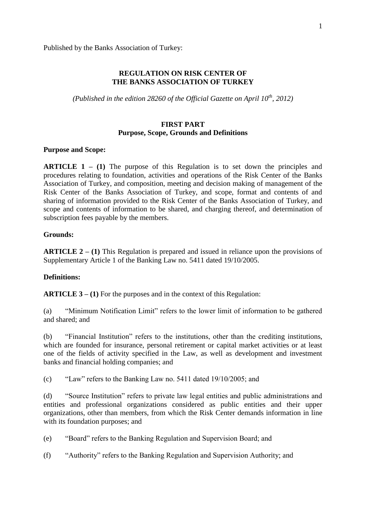Published by the Banks Association of Turkey:

## **REGULATION ON RISK CENTER OF THE BANKS ASSOCIATION OF TURKEY**

*(Published in the edition 28260 of the Official Gazette on April 10th, 2012)*

### **FIRST PART Purpose, Scope, Grounds and Definitions**

#### **Purpose and Scope:**

**ARTICLE 1 – (1)** The purpose of this Regulation is to set down the principles and procedures relating to foundation, activities and operations of the Risk Center of the Banks Association of Turkey, and composition, meeting and decision making of management of the Risk Center of the Banks Association of Turkey, and scope, format and contents of and sharing of information provided to the Risk Center of the Banks Association of Turkey, and scope and contents of information to be shared, and charging thereof, and determination of subscription fees payable by the members.

#### **Grounds:**

**ARTICLE 2 – (1)** This Regulation is prepared and issued in reliance upon the provisions of Supplementary Article 1 of the Banking Law no. 5411 dated 19/10/2005.

#### **Definitions:**

**ARTICLE 3 – (1)** For the purposes and in the context of this Regulation:

(a) "Minimum Notification Limit" refers to the lower limit of information to be gathered and shared; and

(b) "Financial Institution" refers to the institutions, other than the crediting institutions, which are founded for insurance, personal retirement or capital market activities or at least one of the fields of activity specified in the Law, as well as development and investment banks and financial holding companies; and

(c) "Law" refers to the Banking Law no. 5411 dated 19/10/2005; and

(d) "Source Institution" refers to private law legal entities and public administrations and entities and professional organizations considered as public entities and their upper organizations, other than members, from which the Risk Center demands information in line with its foundation purposes; and

- (e) "Board" refers to the Banking Regulation and Supervision Board; and
- (f) "Authority" refers to the Banking Regulation and Supervision Authority; and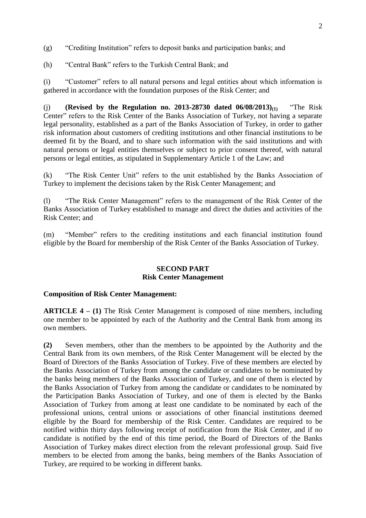(g) "Crediting Institution" refers to deposit banks and participation banks; and

(h) "Central Bank" refers to the Turkish Central Bank; and

(i) "Customer" refers to all natural persons and legal entities about which information is gathered in accordance with the foundation purposes of the Risk Center; and

(j) **(Revised by the Regulation no. 2013-28730 dated 06/08/2013)(1)** "The Risk Center" refers to the Risk Center of the Banks Association of Turkey, not having a separate legal personality, established as a part of the Banks Association of Turkey, in order to gather risk information about customers of crediting institutions and other financial institutions to be deemed fit by the Board, and to share such information with the said institutions and with natural persons or legal entities themselves or subject to prior consent thereof, with natural persons or legal entities, as stipulated in Supplementary Article 1 of the Law; and

(k) "The Risk Center Unit" refers to the unit established by the Banks Association of Turkey to implement the decisions taken by the Risk Center Management; and

(l) "The Risk Center Management" refers to the management of the Risk Center of the Banks Association of Turkey established to manage and direct the duties and activities of the Risk Center; and

(m) "Member" refers to the crediting institutions and each financial institution found eligible by the Board for membership of the Risk Center of the Banks Association of Turkey.

### **SECOND PART Risk Center Management**

## **Composition of Risk Center Management:**

**ARTICLE 4 – (1)** The Risk Center Management is composed of nine members, including one member to be appointed by each of the Authority and the Central Bank from among its own members.

**(2)** Seven members, other than the members to be appointed by the Authority and the Central Bank from its own members, of the Risk Center Management will be elected by the Board of Directors of the Banks Association of Turkey. Five of these members are elected by the Banks Association of Turkey from among the candidate or candidates to be nominated by the banks being members of the Banks Association of Turkey, and one of them is elected by the Banks Association of Turkey from among the candidate or candidates to be nominated by the Participation Banks Association of Turkey, and one of them is elected by the Banks Association of Turkey from among at least one candidate to be nominated by each of the professional unions, central unions or associations of other financial institutions deemed eligible by the Board for membership of the Risk Center. Candidates are required to be notified within thirty days following receipt of notification from the Risk Center, and if no candidate is notified by the end of this time period, the Board of Directors of the Banks Association of Turkey makes direct election from the relevant professional group. Said five members to be elected from among the banks, being members of the Banks Association of Turkey, are required to be working in different banks.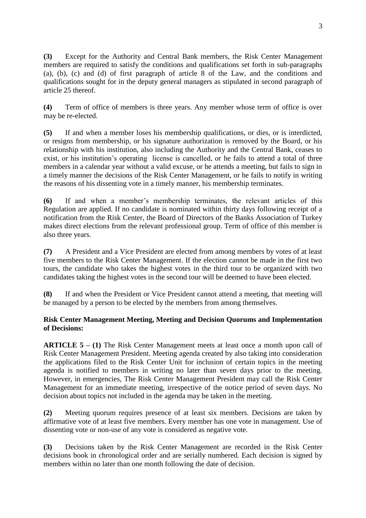**(3)** Except for the Authority and Central Bank members, the Risk Center Management members are required to satisfy the conditions and qualifications set forth in sub-paragraphs (a), (b), (c) and (d) of first paragraph of article 8 of the Law, and the conditions and qualifications sought for in the deputy general managers as stipulated in second paragraph of article 25 thereof.

**(4)** Term of office of members is three years. Any member whose term of office is over may be re-elected.

**(5)** If and when a member loses his membership qualifications, or dies, or is interdicted, or resigns from membership, or his signature authorization is removed by the Board, or his relationship with his institution, also including the Authority and the Central Bank, ceases to exist, or his institution's operating license is cancelled, or he fails to attend a total of three members in a calendar year without a valid excuse, or he attends a meeting, but fails to sign in a timely manner the decisions of the Risk Center Management, or he fails to notify in writing the reasons of his dissenting vote in a timely manner, his membership terminates.

**(6)** If and when a member's membership terminates, the relevant articles of this Regulation are applied. If no candidate is nominated within thirty days following receipt of a notification from the Risk Center, the Board of Directors of the Banks Association of Turkey makes direct elections from the relevant professional group. Term of office of this member is also three years.

**(7)** A President and a Vice President are elected from among members by votes of at least five members to the Risk Center Management. If the election cannot be made in the first two tours, the candidate who takes the highest votes in the third tour to be organized with two candidates taking the highest votes in the second tour will be deemed to have been elected.

**(8)** If and when the President or Vice President cannot attend a meeting, that meeting will be managed by a person to be elected by the members from among themselves.

# **Risk Center Management Meeting, Meeting and Decision Quorums and Implementation of Decisions:**

**ARTICLE 5 – (1)** The Risk Center Management meets at least once a month upon call of Risk Center Management President. Meeting agenda created by also taking into consideration the applications filed to the Risk Center Unit for inclusion of certain topics in the meeting agenda is notified to members in writing no later than seven days prior to the meeting. However, in emergencies, The Risk Center Management President may call the Risk Center Management for an immediate meeting, irrespective of the notice period of seven days. No decision about topics not included in the agenda may be taken in the meeting.

**(2)** Meeting quorum requires presence of at least six members. Decisions are taken by affirmative vote of at least five members. Every member has one vote in management. Use of dissenting vote or non-use of any vote is considered as negative vote.

**(3)** Decisions taken by the Risk Center Management are recorded in the Risk Center decisions book in chronological order and are serially numbered. Each decision is signed by members within no later than one month following the date of decision.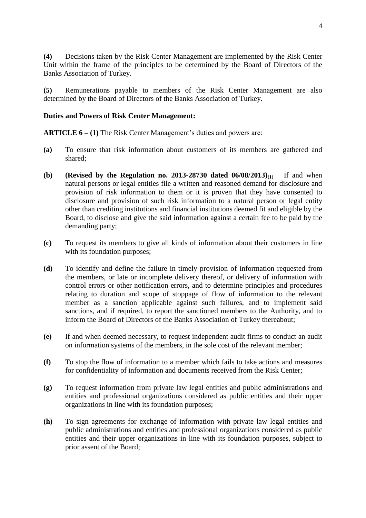**(4)** Decisions taken by the Risk Center Management are implemented by the Risk Center Unit within the frame of the principles to be determined by the Board of Directors of the Banks Association of Turkey.

**(5)** Remunerations payable to members of the Risk Center Management are also determined by the Board of Directors of the Banks Association of Turkey.

## **Duties and Powers of Risk Center Management:**

**ARTICLE 6 – (1)** The Risk Center Management's duties and powers are:

- **(a)** To ensure that risk information about customers of its members are gathered and shared;
- **(b) (Revised by the Regulation no. 2013-28730 dated 06/08/2013)(1)** If and when natural persons or legal entities file a written and reasoned demand for disclosure and provision of risk information to them or it is proven that they have consented to disclosure and provision of such risk information to a natural person or legal entity other than crediting institutions and financial institutions deemed fit and eligible by the Board, to disclose and give the said information against a certain fee to be paid by the demanding party;
- **(c)** To request its members to give all kinds of information about their customers in line with its foundation purposes;
- **(d)** To identify and define the failure in timely provision of information requested from the members, or late or incomplete delivery thereof, or delivery of information with control errors or other notification errors, and to determine principles and procedures relating to duration and scope of stoppage of flow of information to the relevant member as a sanction applicable against such failures, and to implement said sanctions, and if required, to report the sanctioned members to the Authority, and to inform the Board of Directors of the Banks Association of Turkey thereabout;
- **(e)** If and when deemed necessary, to request independent audit firms to conduct an audit on information systems of the members, in the sole cost of the relevant member;
- **(f)** To stop the flow of information to a member which fails to take actions and measures for confidentiality of information and documents received from the Risk Center;
- **(g)** To request information from private law legal entities and public administrations and entities and professional organizations considered as public entities and their upper organizations in line with its foundation purposes;
- **(h)** To sign agreements for exchange of information with private law legal entities and public administrations and entities and professional organizations considered as public entities and their upper organizations in line with its foundation purposes, subject to prior assent of the Board;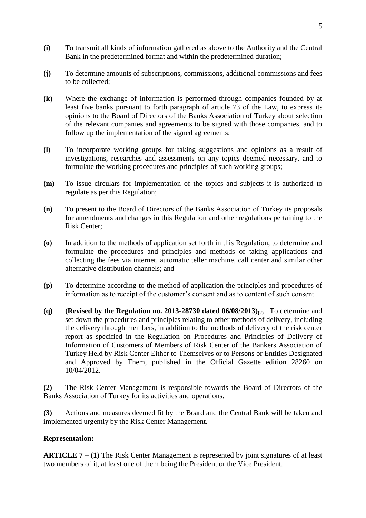- **(i)** To transmit all kinds of information gathered as above to the Authority and the Central Bank in the predetermined format and within the predetermined duration;
- **(j)** To determine amounts of subscriptions, commissions, additional commissions and fees to be collected;
- **(k)** Where the exchange of information is performed through companies founded by at least five banks pursuant to forth paragraph of article 73 of the Law, to express its opinions to the Board of Directors of the Banks Association of Turkey about selection of the relevant companies and agreements to be signed with those companies, and to follow up the implementation of the signed agreements;
- **(l)** To incorporate working groups for taking suggestions and opinions as a result of investigations, researches and assessments on any topics deemed necessary, and to formulate the working procedures and principles of such working groups;
- **(m)** To issue circulars for implementation of the topics and subjects it is authorized to regulate as per this Regulation;
- **(n)** To present to the Board of Directors of the Banks Association of Turkey its proposals for amendments and changes in this Regulation and other regulations pertaining to the Risk Center;
- **(o)** In addition to the methods of application set forth in this Regulation, to determine and formulate the procedures and principles and methods of taking applications and collecting the fees via internet, automatic teller machine, call center and similar other alternative distribution channels; and
- **(p)** To determine according to the method of application the principles and procedures of information as to receipt of the customer's consent and as to content of such consent.
- **(q) (Revised by the Regulation no. 2013-28730 dated**  $06/08/2013$ **)<sub>(2)</sub> To determine and** set down the procedures and principles relating to other methods of delivery, including the delivery through members, in addition to the methods of delivery of the risk center report as specified in the Regulation on Procedures and Principles of Delivery of Information of Customers of Members of Risk Center of the Bankers Association of Turkey Held by Risk Center Either to Themselves or to Persons or Entities Designated and Approved by Them, published in the Official Gazette edition 28260 on 10/04/2012.

**(2)** The Risk Center Management is responsible towards the Board of Directors of the Banks Association of Turkey for its activities and operations.

**(3)** Actions and measures deemed fit by the Board and the Central Bank will be taken and implemented urgently by the Risk Center Management.

# **Representation:**

**ARTICLE 7 – (1)** The Risk Center Management is represented by joint signatures of at least two members of it, at least one of them being the President or the Vice President.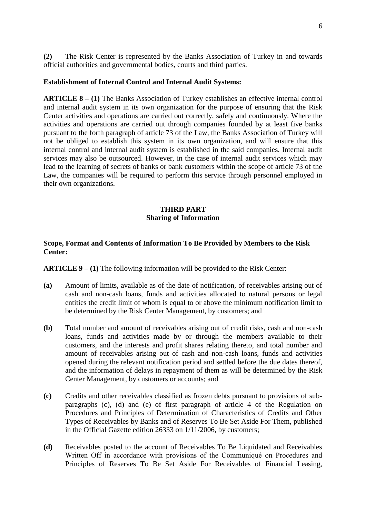**(2)** The Risk Center is represented by the Banks Association of Turkey in and towards official authorities and governmental bodies, courts and third parties.

## **Establishment of Internal Control and Internal Audit Systems:**

**ARTICLE 8 – (1)** The Banks Association of Turkey establishes an effective internal control and internal audit system in its own organization for the purpose of ensuring that the Risk Center activities and operations are carried out correctly, safely and continuously. Where the activities and operations are carried out through companies founded by at least five banks pursuant to the forth paragraph of article 73 of the Law, the Banks Association of Turkey will not be obliged to establish this system in its own organization, and will ensure that this internal control and internal audit system is established in the said companies. Internal audit services may also be outsourced. However, in the case of internal audit services which may lead to the learning of secrets of banks or bank customers within the scope of article 73 of the Law, the companies will be required to perform this service through personnel employed in their own organizations.

## **THIRD PART Sharing of Information**

## **Scope, Format and Contents of Information To Be Provided by Members to the Risk Center:**

**ARTICLE 9 – (1)** The following information will be provided to the Risk Center:

- **(a)** Amount of limits, available as of the date of notification, of receivables arising out of cash and non-cash loans, funds and activities allocated to natural persons or legal entities the credit limit of whom is equal to or above the minimum notification limit to be determined by the Risk Center Management, by customers; and
- **(b)** Total number and amount of receivables arising out of credit risks, cash and non-cash loans, funds and activities made by or through the members available to their customers, and the interests and profit shares relating thereto, and total number and amount of receivables arising out of cash and non-cash loans, funds and activities opened during the relevant notification period and settled before the due dates thereof, and the information of delays in repayment of them as will be determined by the Risk Center Management, by customers or accounts; and
- **(c)** Credits and other receivables classified as frozen debts pursuant to provisions of subparagraphs (c), (d) and (e) of first paragraph of article 4 of the Regulation on Procedures and Principles of Determination of Characteristics of Credits and Other Types of Receivables by Banks and of Reserves To Be Set Aside For Them, published in the Official Gazette edition 26333 on 1/11/2006, by customers;
- **(d)** Receivables posted to the account of Receivables To Be Liquidated and Receivables Written Off in accordance with provisions of the Communiqué on Procedures and Principles of Reserves To Be Set Aside For Receivables of Financial Leasing,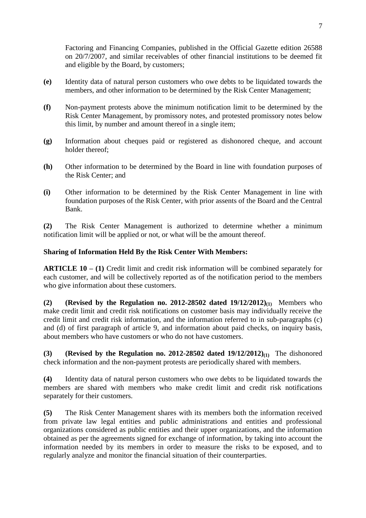Factoring and Financing Companies, published in the Official Gazette edition 26588 on 20/7/2007, and similar receivables of other financial institutions to be deemed fit and eligible by the Board, by customers;

- **(e)** Identity data of natural person customers who owe debts to be liquidated towards the members, and other information to be determined by the Risk Center Management;
- **(f)** Non-payment protests above the minimum notification limit to be determined by the Risk Center Management, by promissory notes, and protested promissory notes below this limit, by number and amount thereof in a single item;
- **(g)** Information about cheques paid or registered as dishonored cheque, and account holder thereof;
- **(h)** Other information to be determined by the Board in line with foundation purposes of the Risk Center; and
- **(i)** Other information to be determined by the Risk Center Management in line with foundation purposes of the Risk Center, with prior assents of the Board and the Central Bank.

**(2)** The Risk Center Management is authorized to determine whether a minimum notification limit will be applied or not, or what will be the amount thereof.

# **Sharing of Information Held By the Risk Center With Members:**

**ARTICLE 10 – (1)** Credit limit and credit risk information will be combined separately for each customer, and will be collectively reported as of the notification period to the members who give information about these customers.

**(2) (Revised by the Regulation no. 2012-28502 dated 19/12/2012)(1)** Members who make credit limit and credit risk notifications on customer basis may individually receive the credit limit and credit risk information, and the information referred to in sub-paragraphs (c) and (d) of first paragraph of article 9, and information about paid checks, on inquiry basis, about members who have customers or who do not have customers.

**(3) (Revised by the Regulation no. 2012-28502 dated 19/12/2012)(1)** The dishonored check information and the non-payment protests are periodically shared with members.

**(4)** Identity data of natural person customers who owe debts to be liquidated towards the members are shared with members who make credit limit and credit risk notifications separately for their customers.

**(5)** The Risk Center Management shares with its members both the information received from private law legal entities and public administrations and entities and professional organizations considered as public entities and their upper organizations, and the information obtained as per the agreements signed for exchange of information, by taking into account the information needed by its members in order to measure the risks to be exposed, and to regularly analyze and monitor the financial situation of their counterparties.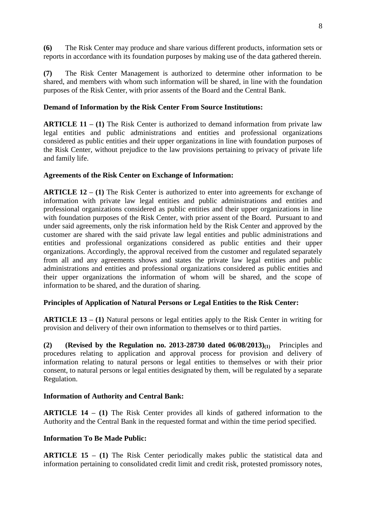**(6)** The Risk Center may produce and share various different products, information sets or reports in accordance with its foundation purposes by making use of the data gathered therein.

**(7)** The Risk Center Management is authorized to determine other information to be shared, and members with whom such information will be shared, in line with the foundation purposes of the Risk Center, with prior assents of the Board and the Central Bank.

# **Demand of Information by the Risk Center From Source Institutions:**

**ARTICLE 11 – (1)** The Risk Center is authorized to demand information from private law legal entities and public administrations and entities and professional organizations considered as public entities and their upper organizations in line with foundation purposes of the Risk Center, without prejudice to the law provisions pertaining to privacy of private life and family life.

# **Agreements of the Risk Center on Exchange of Information:**

**ARTICLE 12 – (1)** The Risk Center is authorized to enter into agreements for exchange of information with private law legal entities and public administrations and entities and professional organizations considered as public entities and their upper organizations in line with foundation purposes of the Risk Center, with prior assent of the Board. Pursuant to and under said agreements, only the risk information held by the Risk Center and approved by the customer are shared with the said private law legal entities and public administrations and entities and professional organizations considered as public entities and their upper organizations. Accordingly, the approval received from the customer and regulated separately from all and any agreements shows and states the private law legal entities and public administrations and entities and professional organizations considered as public entities and their upper organizations the information of whom will be shared, and the scope of information to be shared, and the duration of sharing.

# **Principles of Application of Natural Persons or Legal Entities to the Risk Center:**

**ARTICLE 13 – (1)** Natural persons or legal entities apply to the Risk Center in writing for provision and delivery of their own information to themselves or to third parties.

**(2) (Revised by the Regulation no. 2013-28730 dated**  $06/08/2013$ **<sub>(1)</sub>** Principles and procedures relating to application and approval process for provision and delivery of information relating to natural persons or legal entities to themselves or with their prior consent, to natural persons or legal entities designated by them, will be regulated by a separate Regulation.

# **Information of Authority and Central Bank:**

**ARTICLE 14 – (1)** The Risk Center provides all kinds of gathered information to the Authority and the Central Bank in the requested format and within the time period specified.

# **Information To Be Made Public:**

**ARTICLE 15 – (1)** The Risk Center periodically makes public the statistical data and information pertaining to consolidated credit limit and credit risk, protested promissory notes,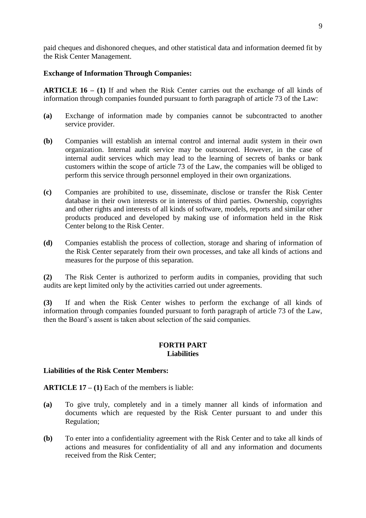paid cheques and dishonored cheques, and other statistical data and information deemed fit by the Risk Center Management.

## **Exchange of Information Through Companies:**

**ARTICLE 16 – (1)** If and when the Risk Center carries out the exchange of all kinds of information through companies founded pursuant to forth paragraph of article 73 of the Law:

- **(a)** Exchange of information made by companies cannot be subcontracted to another service provider.
- **(b)** Companies will establish an internal control and internal audit system in their own organization. Internal audit service may be outsourced. However, in the case of internal audit services which may lead to the learning of secrets of banks or bank customers within the scope of article 73 of the Law, the companies will be obliged to perform this service through personnel employed in their own organizations.
- **(c)** Companies are prohibited to use, disseminate, disclose or transfer the Risk Center database in their own interests or in interests of third parties. Ownership, copyrights and other rights and interests of all kinds of software, models, reports and similar other products produced and developed by making use of information held in the Risk Center belong to the Risk Center.
- **(d)** Companies establish the process of collection, storage and sharing of information of the Risk Center separately from their own processes, and take all kinds of actions and measures for the purpose of this separation.

**(2)** The Risk Center is authorized to perform audits in companies, providing that such audits are kept limited only by the activities carried out under agreements.

**(3)** If and when the Risk Center wishes to perform the exchange of all kinds of information through companies founded pursuant to forth paragraph of article 73 of the Law, then the Board's assent is taken about selection of the said companies.

#### **FORTH PART Liabilities**

## **Liabilities of the Risk Center Members:**

**ARTICLE 17 – (1)** Each of the members is liable:

- **(a)** To give truly, completely and in a timely manner all kinds of information and documents which are requested by the Risk Center pursuant to and under this Regulation;
- **(b)** To enter into a confidentiality agreement with the Risk Center and to take all kinds of actions and measures for confidentiality of all and any information and documents received from the Risk Center;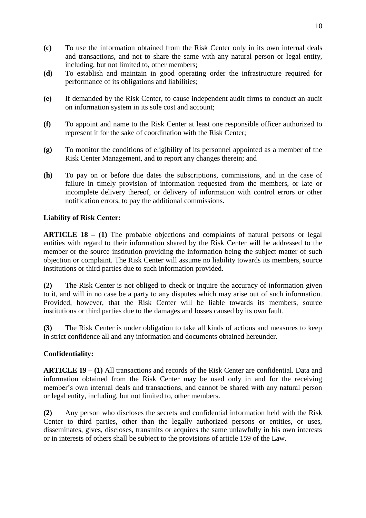- **(c)** To use the information obtained from the Risk Center only in its own internal deals and transactions, and not to share the same with any natural person or legal entity, including, but not limited to, other members;
- **(d)** To establish and maintain in good operating order the infrastructure required for performance of its obligations and liabilities;
- **(e)** If demanded by the Risk Center, to cause independent audit firms to conduct an audit on information system in its sole cost and account;
- **(f)** To appoint and name to the Risk Center at least one responsible officer authorized to represent it for the sake of coordination with the Risk Center;
- **(g)** To monitor the conditions of eligibility of its personnel appointed as a member of the Risk Center Management, and to report any changes therein; and
- **(h)** To pay on or before due dates the subscriptions, commissions, and in the case of failure in timely provision of information requested from the members, or late or incomplete delivery thereof, or delivery of information with control errors or other notification errors, to pay the additional commissions.

# **Liability of Risk Center:**

**ARTICLE 18 – (1)** The probable objections and complaints of natural persons or legal entities with regard to their information shared by the Risk Center will be addressed to the member or the source institution providing the information being the subject matter of such objection or complaint. The Risk Center will assume no liability towards its members, source institutions or third parties due to such information provided.

**(2)** The Risk Center is not obliged to check or inquire the accuracy of information given to it, and will in no case be a party to any disputes which may arise out of such information. Provided, however, that the Risk Center will be liable towards its members, source institutions or third parties due to the damages and losses caused by its own fault.

**(3)** The Risk Center is under obligation to take all kinds of actions and measures to keep in strict confidence all and any information and documents obtained hereunder.

## **Confidentiality:**

**ARTICLE 19 – (1)** All transactions and records of the Risk Center are confidential. Data and information obtained from the Risk Center may be used only in and for the receiving member's own internal deals and transactions, and cannot be shared with any natural person or legal entity, including, but not limited to, other members.

**(2)** Any person who discloses the secrets and confidential information held with the Risk Center to third parties, other than the legally authorized persons or entities, or uses, disseminates, gives, discloses, transmits or acquires the same unlawfully in his own interests or in interests of others shall be subject to the provisions of article 159 of the Law.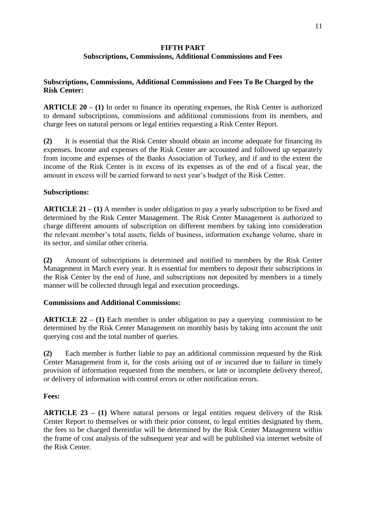# **FIFTH PART**

# **Subscriptions, Commissions, Additional Commissions and Fees**

# **Subscriptions, Commissions, Additional Commissions and Fees To Be Charged by the Risk Center:**

**ARTICLE 20 – (1)** In order to finance its operating expenses, the Risk Center is authorized to demand subscriptions, commissions and additional commissions from its members, and charge fees on natural persons or legal entities requesting a Risk Center Report.

**(2)** It is essential that the Risk Center should obtain an income adequate for financing its expenses. Income and expenses of the Risk Center are accounted and followed up separately from income and expenses of the Banks Association of Turkey, and if and to the extent the income of the Risk Center is in excess of its expenses as of the end of a fiscal year, the amount in excess will be carried forward to next year's budget of the Risk Center.

# **Subscriptions:**

**ARTICLE 21 – (1)** A member is under obligation to pay a yearly subscription to be fixed and determined by the Risk Center Management. The Risk Center Management is authorized to charge different amounts of subscription on different members by taking into consideration the relevant member's total assets, fields of business, information exchange volume, share in its sector, and similar other criteria.

**(2)** Amount of subscriptions is determined and notified to members by the Risk Center Management in March every year. It is essential for members to deposit their subscriptions in the Risk Center by the end of June, and subscriptions not deposited by members in a timely manner will be collected through legal and execution proceedings.

## **Commissions and Additional Commissions:**

**ARTICLE 22 – (1)** Each member is under obligation to pay a querying commission to be determined by the Risk Center Management on monthly basis by taking into account the unit querying cost and the total number of queries.

**(2)** Each member is further liable to pay an additional commission requested by the Risk Center Management from it, for the costs arising out of or incurred due to failure in timely provision of information requested from the members, or late or incomplete delivery thereof, or delivery of information with control errors or other notification errors.

# **Fees:**

**ARTICLE 23 – (1)** Where natural persons or legal entities request delivery of the Risk Center Report to themselves or with their prior consent, to legal entities designated by them, the fees to be charged thereinfor will be determined by the Risk Center Management within the frame of cost analysis of the subsequent year and will be published via internet website of the Risk Center.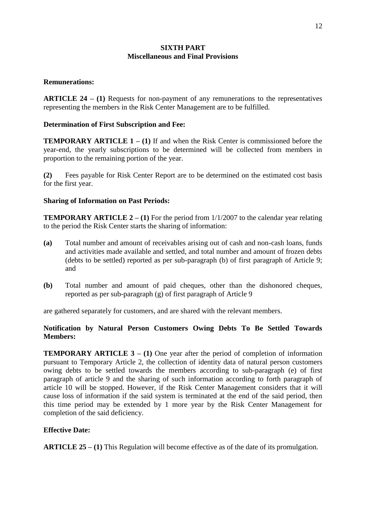# **SIXTH PART Miscellaneous and Final Provisions**

### **Remunerations:**

**ARTICLE 24 – (1)** Requests for non-payment of any remunerations to the representatives representing the members in the Risk Center Management are to be fulfilled.

## **Determination of First Subscription and Fee:**

**TEMPORARY ARTICLE 1 – (1)** If and when the Risk Center is commissioned before the year-end, the yearly subscriptions to be determined will be collected from members in proportion to the remaining portion of the year.

**(2)** Fees payable for Risk Center Report are to be determined on the estimated cost basis for the first year.

#### **Sharing of Information on Past Periods:**

**TEMPORARY ARTICLE 2 – (1)** For the period from  $1/1/2007$  to the calendar year relating to the period the Risk Center starts the sharing of information:

- **(a)** Total number and amount of receivables arising out of cash and non-cash loans, funds and activities made available and settled, and total number and amount of frozen debts (debts to be settled) reported as per sub-paragraph (b) of first paragraph of Article 9; and
- **(b)** Total number and amount of paid cheques, other than the dishonored cheques, reported as per sub-paragraph (g) of first paragraph of Article 9

are gathered separately for customers, and are shared with the relevant members.

# **Notification by Natural Person Customers Owing Debts To Be Settled Towards Members:**

**TEMPORARY ARTICLE 3 – (1)** One year after the period of completion of information pursuant to Temporary Article 2, the collection of identity data of natural person customers owing debts to be settled towards the members according to sub-paragraph (e) of first paragraph of article 9 and the sharing of such information according to forth paragraph of article 10 will be stopped. However, if the Risk Center Management considers that it will cause loss of information if the said system is terminated at the end of the said period, then this time period may be extended by 1 more year by the Risk Center Management for completion of the said deficiency.

## **Effective Date:**

**ARTICLE 25 – (1)** This Regulation will become effective as of the date of its promulgation.